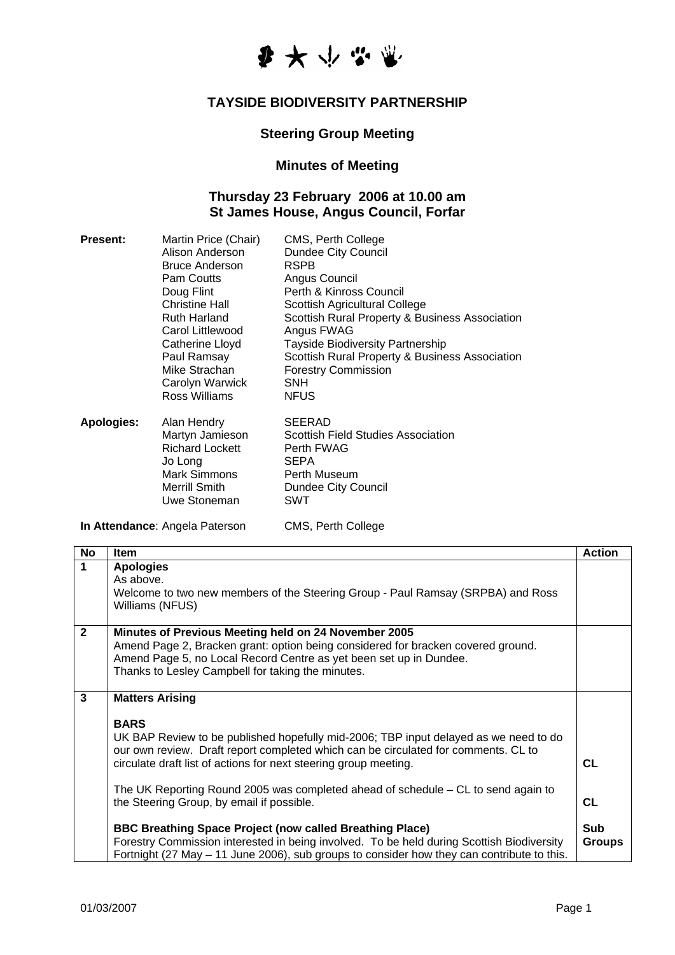

## **TAYSIDE BIODIVERSITY PARTNERSHIP**

## **Steering Group Meeting**

## **Minutes of Meeting**

## **Thursday 23 February 2006 at 10.00 am St James House, Angus Council, Forfar**

| <b>Present:</b> | Martin Price (Chair)   | CMS, Perth College                             |
|-----------------|------------------------|------------------------------------------------|
|                 | Alison Anderson        | <b>Dundee City Council</b>                     |
|                 | <b>Bruce Anderson</b>  | <b>RSPB</b>                                    |
|                 | Pam Coutts             | Angus Council                                  |
|                 | Doug Flint             | Perth & Kinross Council                        |
|                 | Christine Hall         | Scottish Agricultural College                  |
|                 | Ruth Harland           | Scottish Rural Property & Business Association |
|                 | Carol Littlewood       | Angus FWAG                                     |
|                 | Catherine Lloyd        | <b>Tayside Biodiversity Partnership</b>        |
|                 | Paul Ramsay            | Scottish Rural Property & Business Association |
|                 | Mike Strachan          | <b>Forestry Commission</b>                     |
|                 | Carolyn Warwick        | <b>SNH</b>                                     |
|                 | Ross Williams          | <b>NFUS</b>                                    |
| Apologies:      | Alan Hendry            | <b>SEERAD</b>                                  |
|                 | Martyn Jamieson        | <b>Scottish Field Studies Association</b>      |
|                 | <b>Richard Lockett</b> | Perth FWAG                                     |
|                 | Jo Long                | <b>SEPA</b>                                    |
|                 | Mark Simmons           | Perth Museum                                   |
|                 | Merrill Smith          | Dundee City Council                            |
|                 | Uwe Stoneman           | SWT                                            |

**In Attendance**: Angela Paterson CMS, Perth College

| <b>No</b>      | Item                                                                                                                                                                                                                                                                                                                                                                                                                                                                                                                                                                                                                                                                                    | <b>Action</b>                           |
|----------------|-----------------------------------------------------------------------------------------------------------------------------------------------------------------------------------------------------------------------------------------------------------------------------------------------------------------------------------------------------------------------------------------------------------------------------------------------------------------------------------------------------------------------------------------------------------------------------------------------------------------------------------------------------------------------------------------|-----------------------------------------|
| $\mathbf 1$    | <b>Apologies</b><br>As above.<br>Welcome to two new members of the Steering Group - Paul Ramsay (SRPBA) and Ross<br>Williams (NFUS)                                                                                                                                                                                                                                                                                                                                                                                                                                                                                                                                                     |                                         |
| $\overline{2}$ | Minutes of Previous Meeting held on 24 November 2005<br>Amend Page 2, Bracken grant: option being considered for bracken covered ground.<br>Amend Page 5, no Local Record Centre as yet been set up in Dundee.<br>Thanks to Lesley Campbell for taking the minutes.                                                                                                                                                                                                                                                                                                                                                                                                                     |                                         |
| 3              | <b>Matters Arising</b><br><b>BARS</b><br>UK BAP Review to be published hopefully mid-2006; TBP input delayed as we need to do<br>our own review. Draft report completed which can be circulated for comments. CL to<br>circulate draft list of actions for next steering group meeting.<br>The UK Reporting Round 2005 was completed ahead of schedule – CL to send again to<br>the Steering Group, by email if possible.<br><b>BBC Breathing Space Project (now called Breathing Place)</b><br>Forestry Commission interested in being involved. To be held during Scottish Biodiversity<br>Fortnight (27 May – 11 June 2006), sub groups to consider how they can contribute to this. | CL<br>CL<br><b>Sub</b><br><b>Groups</b> |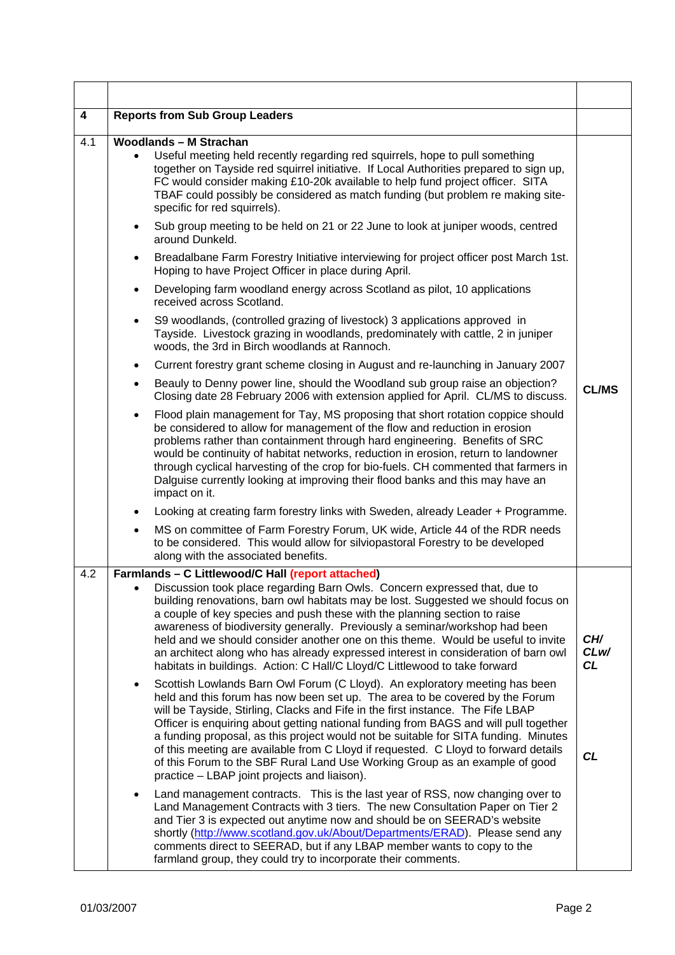| 4   | <b>Reports from Sub Group Leaders</b>                                                                                                                                                                                                                                                                                                                                                                                                                                                                                                                                                                                                                            |                   |
|-----|------------------------------------------------------------------------------------------------------------------------------------------------------------------------------------------------------------------------------------------------------------------------------------------------------------------------------------------------------------------------------------------------------------------------------------------------------------------------------------------------------------------------------------------------------------------------------------------------------------------------------------------------------------------|-------------------|
| 4.1 | <b>Woodlands - M Strachan</b><br>Useful meeting held recently regarding red squirrels, hope to pull something<br>$\bullet$<br>together on Tayside red squirrel initiative. If Local Authorities prepared to sign up,<br>FC would consider making £10-20k available to help fund project officer. SITA<br>TBAF could possibly be considered as match funding (but problem re making site-<br>specific for red squirrels).                                                                                                                                                                                                                                         |                   |
|     | Sub group meeting to be held on 21 or 22 June to look at juniper woods, centred<br>$\bullet$<br>around Dunkeld.                                                                                                                                                                                                                                                                                                                                                                                                                                                                                                                                                  |                   |
|     | Breadalbane Farm Forestry Initiative interviewing for project officer post March 1st.<br>$\bullet$<br>Hoping to have Project Officer in place during April.                                                                                                                                                                                                                                                                                                                                                                                                                                                                                                      |                   |
|     | Developing farm woodland energy across Scotland as pilot, 10 applications<br>$\bullet$<br>received across Scotland.                                                                                                                                                                                                                                                                                                                                                                                                                                                                                                                                              |                   |
|     | S9 woodlands, (controlled grazing of livestock) 3 applications approved in<br>$\bullet$<br>Tayside. Livestock grazing in woodlands, predominately with cattle, 2 in juniper<br>woods, the 3rd in Birch woodlands at Rannoch.                                                                                                                                                                                                                                                                                                                                                                                                                                     |                   |
|     | Current forestry grant scheme closing in August and re-launching in January 2007<br>$\bullet$                                                                                                                                                                                                                                                                                                                                                                                                                                                                                                                                                                    |                   |
|     | Beauly to Denny power line, should the Woodland sub group raise an objection?<br>$\bullet$<br>Closing date 28 February 2006 with extension applied for April. CL/MS to discuss.                                                                                                                                                                                                                                                                                                                                                                                                                                                                                  | <b>CL/MS</b>      |
|     | Flood plain management for Tay, MS proposing that short rotation coppice should<br>$\bullet$<br>be considered to allow for management of the flow and reduction in erosion<br>problems rather than containment through hard engineering. Benefits of SRC<br>would be continuity of habitat networks, reduction in erosion, return to landowner<br>through cyclical harvesting of the crop for bio-fuels. CH commented that farmers in<br>Dalguise currently looking at improving their flood banks and this may have an<br>impact on it.                                                                                                                         |                   |
|     | Looking at creating farm forestry links with Sweden, already Leader + Programme.<br>$\bullet$                                                                                                                                                                                                                                                                                                                                                                                                                                                                                                                                                                    |                   |
|     | MS on committee of Farm Forestry Forum, UK wide, Article 44 of the RDR needs<br>$\bullet$<br>to be considered. This would allow for silviopastoral Forestry to be developed<br>along with the associated benefits.                                                                                                                                                                                                                                                                                                                                                                                                                                               |                   |
| 4.2 | Farmlands - C Littlewood/C Hall (report attached)                                                                                                                                                                                                                                                                                                                                                                                                                                                                                                                                                                                                                |                   |
|     | Discussion took place regarding Barn Owls. Concern expressed that, due to<br>$\bullet$<br>building renovations, barn owl habitats may be lost. Suggested we should focus on<br>a couple of key species and push these with the planning section to raise<br>awareness of biodiversity generally. Previously a seminar/workshop had been<br>held and we should consider another one on this theme. Would be useful to invite<br>an architect along who has already expressed interest in consideration of barn owl<br>habitats in buildings. Action: C Hall/C Lloyd/C Littlewood to take forward                                                                  | CH/<br>CLw/<br>CL |
|     | Scottish Lowlands Barn Owl Forum (C Lloyd). An exploratory meeting has been<br>$\bullet$<br>held and this forum has now been set up. The area to be covered by the Forum<br>will be Tayside, Stirling, Clacks and Fife in the first instance. The Fife LBAP<br>Officer is enquiring about getting national funding from BAGS and will pull together<br>a funding proposal, as this project would not be suitable for SITA funding. Minutes<br>of this meeting are available from C Lloyd if requested. C Lloyd to forward details<br>of this Forum to the SBF Rural Land Use Working Group as an example of good<br>practice – LBAP joint projects and liaison). | <b>CL</b>         |
|     | Land management contracts. This is the last year of RSS, now changing over to<br>$\bullet$<br>Land Management Contracts with 3 tiers. The new Consultation Paper on Tier 2<br>and Tier 3 is expected out anytime now and should be on SEERAD's website<br>shortly (http://www.scotland.gov.uk/About/Departments/ERAD). Please send any<br>comments direct to SEERAD, but if any LBAP member wants to copy to the<br>farmland group, they could try to incorporate their comments.                                                                                                                                                                                |                   |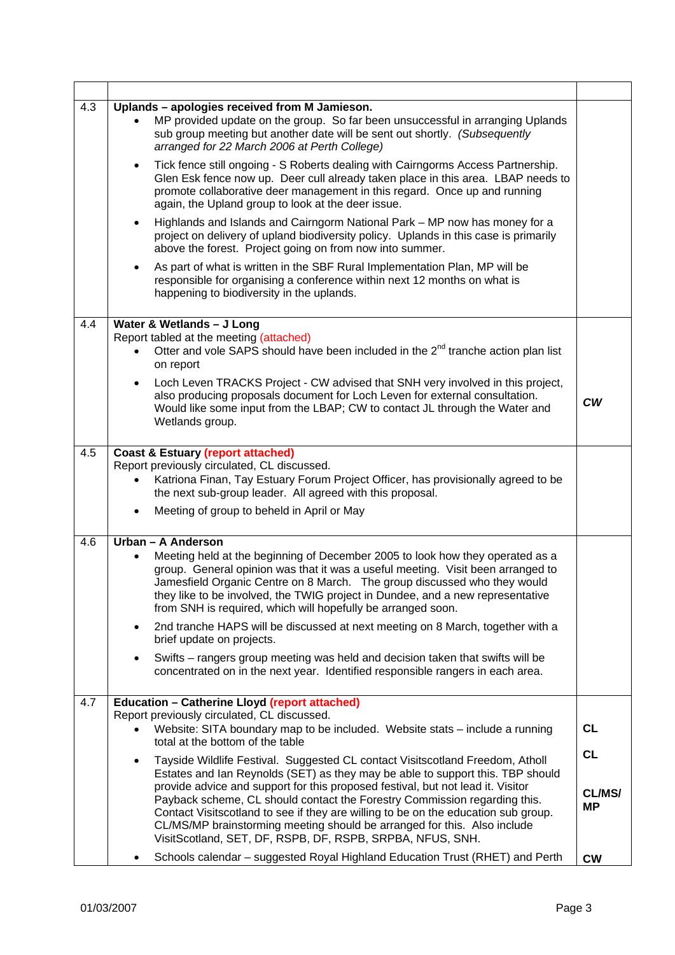| 4.3 | Uplands - apologies received from M Jamieson.<br>MP provided update on the group. So far been unsuccessful in arranging Uplands<br>sub group meeting but another date will be sent out shortly. (Subsequently<br>arranged for 22 March 2006 at Perth College)                                                                                                                                               |           |
|-----|-------------------------------------------------------------------------------------------------------------------------------------------------------------------------------------------------------------------------------------------------------------------------------------------------------------------------------------------------------------------------------------------------------------|-----------|
|     | Tick fence still ongoing - S Roberts dealing with Cairngorms Access Partnership.<br>$\bullet$<br>Glen Esk fence now up. Deer cull already taken place in this area. LBAP needs to<br>promote collaborative deer management in this regard. Once up and running<br>again, the Upland group to look at the deer issue.                                                                                        |           |
|     | Highlands and Islands and Cairngorm National Park - MP now has money for a<br>$\bullet$<br>project on delivery of upland biodiversity policy. Uplands in this case is primarily<br>above the forest. Project going on from now into summer.                                                                                                                                                                 |           |
|     | As part of what is written in the SBF Rural Implementation Plan, MP will be<br>$\bullet$<br>responsible for organising a conference within next 12 months on what is<br>happening to biodiversity in the uplands.                                                                                                                                                                                           |           |
| 4.4 | Water & Wetlands - J Long                                                                                                                                                                                                                                                                                                                                                                                   |           |
|     | Report tabled at the meeting (attached)                                                                                                                                                                                                                                                                                                                                                                     |           |
|     | Otter and vole SAPS should have been included in the $2^{nd}$ tranche action plan list<br>on report                                                                                                                                                                                                                                                                                                         |           |
|     | Loch Leven TRACKS Project - CW advised that SNH very involved in this project,<br>$\bullet$                                                                                                                                                                                                                                                                                                                 |           |
|     | also producing proposals document for Loch Leven for external consultation.<br>Would like some input from the LBAP; CW to contact JL through the Water and<br>Wetlands group.                                                                                                                                                                                                                               | <b>CW</b> |
| 4.5 | <b>Coast &amp; Estuary (report attached)</b>                                                                                                                                                                                                                                                                                                                                                                |           |
|     | Report previously circulated, CL discussed.                                                                                                                                                                                                                                                                                                                                                                 |           |
|     | Katriona Finan, Tay Estuary Forum Project Officer, has provisionally agreed to be<br>$\bullet$<br>the next sub-group leader. All agreed with this proposal.                                                                                                                                                                                                                                                 |           |
|     | Meeting of group to beheld in April or May<br>$\bullet$                                                                                                                                                                                                                                                                                                                                                     |           |
| 4.6 | Urban - A Anderson                                                                                                                                                                                                                                                                                                                                                                                          |           |
|     | Meeting held at the beginning of December 2005 to look how they operated as a<br>$\bullet$<br>group. General opinion was that it was a useful meeting. Visit been arranged to<br>Jamesfield Organic Centre on 8 March. The group discussed who they would<br>they like to be involved, the TWIG project in Dundee, and a new representative<br>from SNH is required, which will hopefully be arranged soon. |           |
|     | 2nd tranche HAPS will be discussed at next meeting on 8 March, together with a<br>$\bullet$<br>brief update on projects.                                                                                                                                                                                                                                                                                    |           |
|     | Swifts – rangers group meeting was held and decision taken that swifts will be<br>$\bullet$<br>concentrated on in the next year. Identified responsible rangers in each area.                                                                                                                                                                                                                               |           |
| 4.7 | <b>Education - Catherine Lloyd (report attached)</b>                                                                                                                                                                                                                                                                                                                                                        |           |
|     | Report previously circulated, CL discussed.<br>Website: SITA boundary map to be included. Website stats - include a running                                                                                                                                                                                                                                                                                 | <b>CL</b> |
|     | total at the bottom of the table                                                                                                                                                                                                                                                                                                                                                                            |           |
|     | Tayside Wildlife Festival. Suggested CL contact Visitscotland Freedom, Atholl<br>$\bullet$<br>Estates and Ian Reynolds (SET) as they may be able to support this. TBP should                                                                                                                                                                                                                                | <b>CL</b> |
|     | provide advice and support for this proposed festival, but not lead it. Visitor                                                                                                                                                                                                                                                                                                                             | CL/MS/    |
|     | Payback scheme, CL should contact the Forestry Commission regarding this.<br>Contact Visitscotland to see if they are willing to be on the education sub group.                                                                                                                                                                                                                                             | <b>MP</b> |
|     | CL/MS/MP brainstorming meeting should be arranged for this. Also include<br>VisitScotland, SET, DF, RSPB, DF, RSPB, SRPBA, NFUS, SNH.                                                                                                                                                                                                                                                                       |           |
|     | Schools calendar – suggested Royal Highland Education Trust (RHET) and Perth<br>٠                                                                                                                                                                                                                                                                                                                           | <b>CW</b> |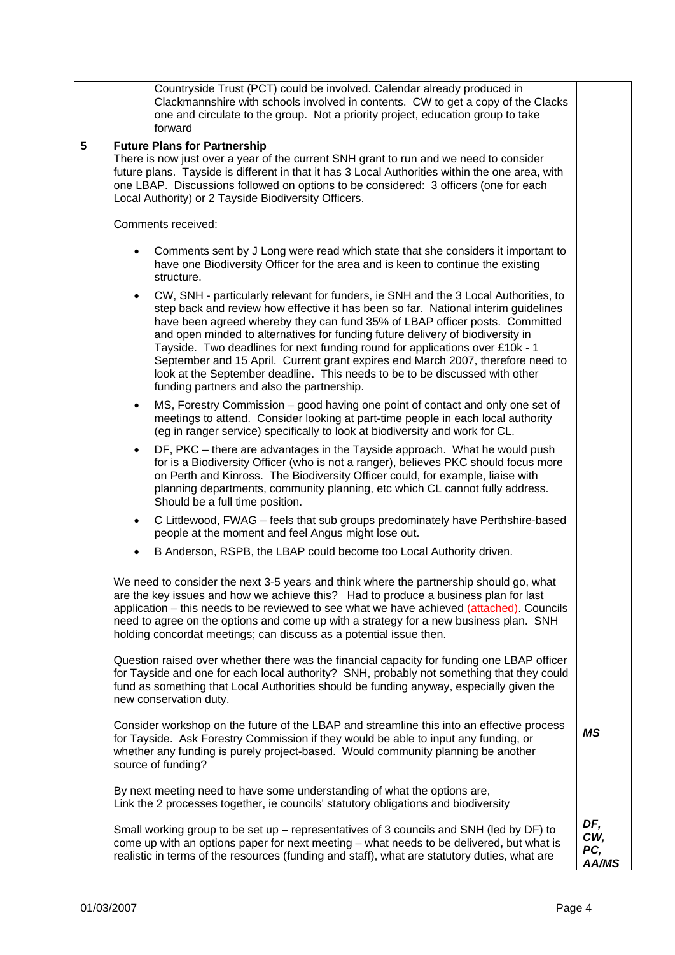|                 | Countryside Trust (PCT) could be involved. Calendar already produced in<br>Clackmannshire with schools involved in contents. CW to get a copy of the Clacks<br>one and circulate to the group. Not a priority project, education group to take<br>forward                                                                                                                                                                                                                                                                                                                                                                                               |                                   |
|-----------------|---------------------------------------------------------------------------------------------------------------------------------------------------------------------------------------------------------------------------------------------------------------------------------------------------------------------------------------------------------------------------------------------------------------------------------------------------------------------------------------------------------------------------------------------------------------------------------------------------------------------------------------------------------|-----------------------------------|
| $5\phantom{.0}$ | <b>Future Plans for Partnership</b><br>There is now just over a year of the current SNH grant to run and we need to consider<br>future plans. Tayside is different in that it has 3 Local Authorities within the one area, with<br>one LBAP. Discussions followed on options to be considered: 3 officers (one for each<br>Local Authority) or 2 Tayside Biodiversity Officers.                                                                                                                                                                                                                                                                         |                                   |
|                 | Comments received:                                                                                                                                                                                                                                                                                                                                                                                                                                                                                                                                                                                                                                      |                                   |
|                 | Comments sent by J Long were read which state that she considers it important to<br>$\bullet$<br>have one Biodiversity Officer for the area and is keen to continue the existing<br>structure.                                                                                                                                                                                                                                                                                                                                                                                                                                                          |                                   |
|                 | CW, SNH - particularly relevant for funders, ie SNH and the 3 Local Authorities, to<br>$\bullet$<br>step back and review how effective it has been so far. National interim guidelines<br>have been agreed whereby they can fund 35% of LBAP officer posts. Committed<br>and open minded to alternatives for funding future delivery of biodiversity in<br>Tayside. Two deadlines for next funding round for applications over £10k - 1<br>September and 15 April. Current grant expires end March 2007, therefore need to<br>look at the September deadline. This needs to be to be discussed with other<br>funding partners and also the partnership. |                                   |
|                 | MS, Forestry Commission – good having one point of contact and only one set of<br>$\bullet$<br>meetings to attend. Consider looking at part-time people in each local authority<br>(eg in ranger service) specifically to look at biodiversity and work for CL.                                                                                                                                                                                                                                                                                                                                                                                         |                                   |
|                 | DF, PKC – there are advantages in the Tayside approach. What he would push<br>$\bullet$<br>for is a Biodiversity Officer (who is not a ranger), believes PKC should focus more<br>on Perth and Kinross. The Biodiversity Officer could, for example, liaise with<br>planning departments, community planning, etc which CL cannot fully address.<br>Should be a full time position.                                                                                                                                                                                                                                                                     |                                   |
|                 | C Littlewood, FWAG - feels that sub groups predominately have Perthshire-based<br>$\bullet$<br>people at the moment and feel Angus might lose out.                                                                                                                                                                                                                                                                                                                                                                                                                                                                                                      |                                   |
|                 | B Anderson, RSPB, the LBAP could become too Local Authority driven.                                                                                                                                                                                                                                                                                                                                                                                                                                                                                                                                                                                     |                                   |
|                 | We need to consider the next 3-5 years and think where the partnership should go, what<br>are the key issues and how we achieve this? Had to produce a business plan for last<br>application – this needs to be reviewed to see what we have achieved (attached). Councils<br>need to agree on the options and come up with a strategy for a new business plan. SNH<br>holding concordat meetings; can discuss as a potential issue then.                                                                                                                                                                                                               |                                   |
|                 | Question raised over whether there was the financial capacity for funding one LBAP officer<br>for Tayside and one for each local authority? SNH, probably not something that they could<br>fund as something that Local Authorities should be funding anyway, especially given the<br>new conservation duty.                                                                                                                                                                                                                                                                                                                                            |                                   |
|                 | Consider workshop on the future of the LBAP and streamline this into an effective process<br>for Tayside. Ask Forestry Commission if they would be able to input any funding, or<br>whether any funding is purely project-based. Would community planning be another<br>source of funding?                                                                                                                                                                                                                                                                                                                                                              | ΜS                                |
|                 | By next meeting need to have some understanding of what the options are,<br>Link the 2 processes together, ie councils' statutory obligations and biodiversity                                                                                                                                                                                                                                                                                                                                                                                                                                                                                          |                                   |
|                 | Small working group to be set up – representatives of 3 councils and SNH (led by DF) to<br>come up with an options paper for next meeting - what needs to be delivered, but what is<br>realistic in terms of the resources (funding and staff), what are statutory duties, what are                                                                                                                                                                                                                                                                                                                                                                     | DF,<br>CW,<br>PC,<br><b>AA/MS</b> |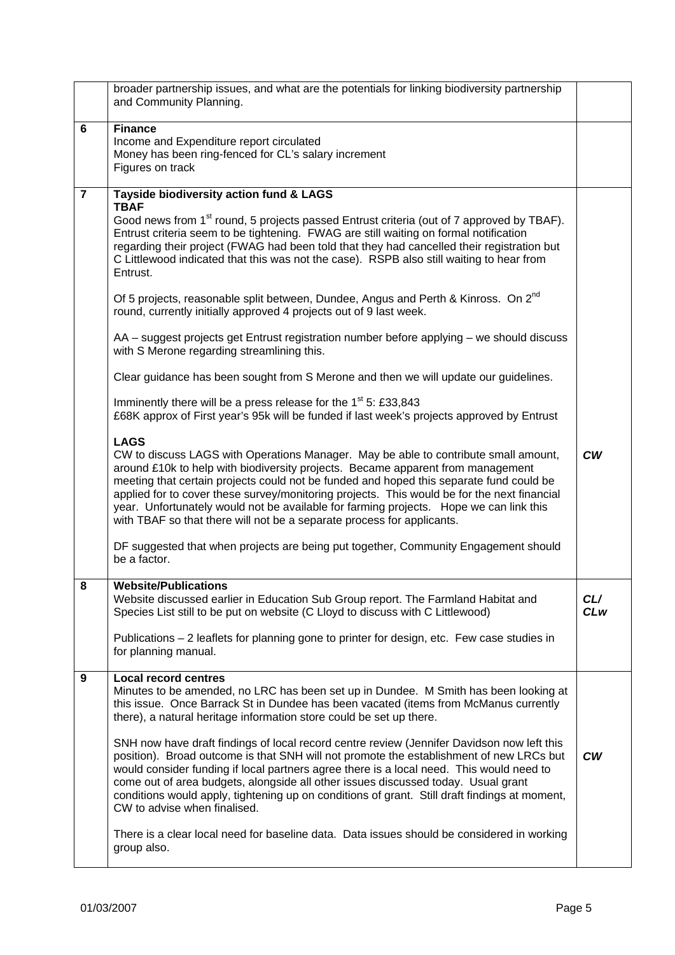|                | broader partnership issues, and what are the potentials for linking biodiversity partnership<br>and Community Planning.                                                                                                                                                                                                                                                                                                                                                                                                                             |                        |
|----------------|-----------------------------------------------------------------------------------------------------------------------------------------------------------------------------------------------------------------------------------------------------------------------------------------------------------------------------------------------------------------------------------------------------------------------------------------------------------------------------------------------------------------------------------------------------|------------------------|
| 6              | <b>Finance</b><br>Income and Expenditure report circulated<br>Money has been ring-fenced for CL's salary increment<br>Figures on track                                                                                                                                                                                                                                                                                                                                                                                                              |                        |
| $\overline{7}$ | Tayside biodiversity action fund & LAGS<br><b>TBAF</b><br>Good news from 1 <sup>st</sup> round, 5 projects passed Entrust criteria (out of 7 approved by TBAF).<br>Entrust criteria seem to be tightening. FWAG are still waiting on formal notification<br>regarding their project (FWAG had been told that they had cancelled their registration but<br>C Littlewood indicated that this was not the case). RSPB also still waiting to hear from<br>Entrust.                                                                                      |                        |
|                | Of 5 projects, reasonable split between, Dundee, Angus and Perth & Kinross. On 2 <sup>nd</sup><br>round, currently initially approved 4 projects out of 9 last week.                                                                                                                                                                                                                                                                                                                                                                                |                        |
|                | AA - suggest projects get Entrust registration number before applying - we should discuss<br>with S Merone regarding streamlining this.                                                                                                                                                                                                                                                                                                                                                                                                             |                        |
|                | Clear guidance has been sought from S Merone and then we will update our guidelines.                                                                                                                                                                                                                                                                                                                                                                                                                                                                |                        |
|                | Imminently there will be a press release for the 1 <sup>st</sup> 5: £33,843<br>£68K approx of First year's 95k will be funded if last week's projects approved by Entrust                                                                                                                                                                                                                                                                                                                                                                           |                        |
|                | <b>LAGS</b><br>CW to discuss LAGS with Operations Manager. May be able to contribute small amount,<br>around £10k to help with biodiversity projects. Became apparent from management<br>meeting that certain projects could not be funded and hoped this separate fund could be<br>applied for to cover these survey/monitoring projects. This would be for the next financial<br>year. Unfortunately would not be available for farming projects. Hope we can link this<br>with TBAF so that there will not be a separate process for applicants. | $\mathsf{c}\mathsf{w}$ |
|                | DF suggested that when projects are being put together, Community Engagement should<br>be a factor.                                                                                                                                                                                                                                                                                                                                                                                                                                                 |                        |
| 8              | <b>Website/Publications</b><br>Website discussed earlier in Education Sub Group report. The Farmland Habitat and<br>Species List still to be put on website (C Lloyd to discuss with C Littlewood)<br>Publications - 2 leaflets for planning gone to printer for design, etc. Few case studies in<br>for planning manual.                                                                                                                                                                                                                           | CL/<br><b>CLw</b>      |
|                |                                                                                                                                                                                                                                                                                                                                                                                                                                                                                                                                                     |                        |
| 9              | <b>Local record centres</b><br>Minutes to be amended, no LRC has been set up in Dundee. M Smith has been looking at<br>this issue. Once Barrack St in Dundee has been vacated (items from McManus currently<br>there), a natural heritage information store could be set up there.                                                                                                                                                                                                                                                                  |                        |
|                | SNH now have draft findings of local record centre review (Jennifer Davidson now left this<br>position). Broad outcome is that SNH will not promote the establishment of new LRCs but<br>would consider funding if local partners agree there is a local need. This would need to<br>come out of area budgets, alongside all other issues discussed today. Usual grant<br>conditions would apply, tightening up on conditions of grant. Still draft findings at moment,<br>CW to advise when finalised.                                             | <b>CW</b>              |
|                | There is a clear local need for baseline data. Data issues should be considered in working<br>group also.                                                                                                                                                                                                                                                                                                                                                                                                                                           |                        |